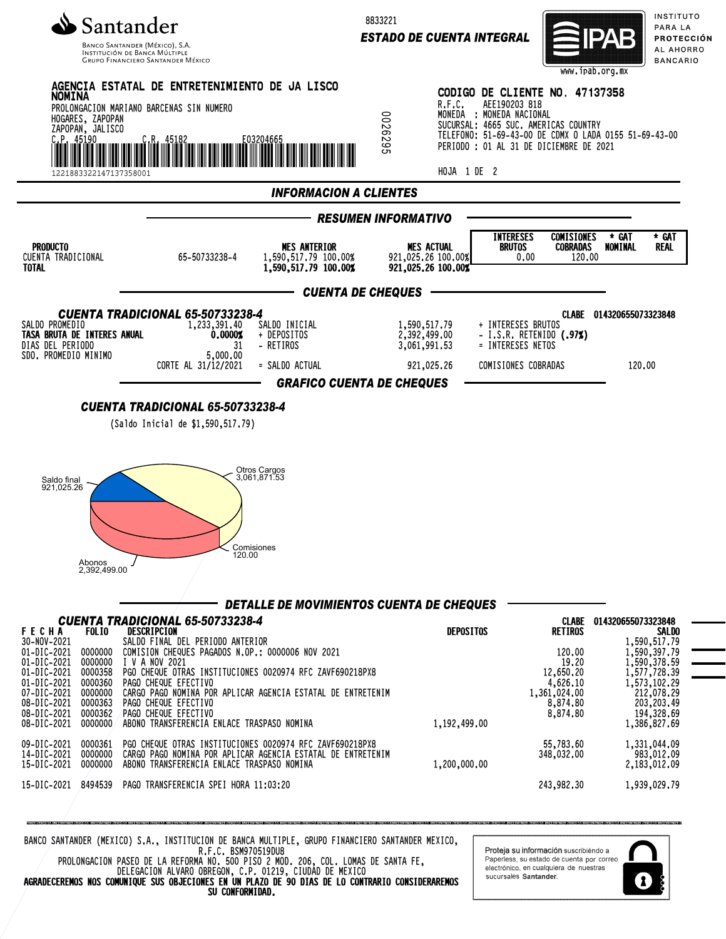

INSTITUCIÓN DE BANCA MÚLTIF **GRUPO FINANCIERO SANTANDER MÉXICO**  8833221

*ESTADO DE CUENTA INTEGRAL*



INSTITUTO PARA LA PROTECCIÓN AL AHORRO **BANCARIO** 



BANCO SANTANDER (MEXICO) S.A., INSTITUCION DE BANCA MULTIPLE, GRUPO FINANCIERO SANTANDER MEXICO, R.F.C. BSM970519DU8

PROLONGACION PASEO DE LA REFORMA NO. 500 PISO 2 MOD. 206, COL. LOMAS DE SANTA FE, DELEGACION ALVARO OBREGON, C.P. 01219, CIUDAD DE MEXICO AGRADECEREMOS NOS COMUNIQUE SUS OBJECIONES EN UN PLAZO DE 90 DIAS DE LO CONTRARIO CONSIDERAREMOS SU CONFORMIDAD.

.<br><mark>Proteja su información</mark> suscribiéndo a Paperless, su estado de cuenta por correo electrónico, en cualquiera de nuestras sucursales Santander

1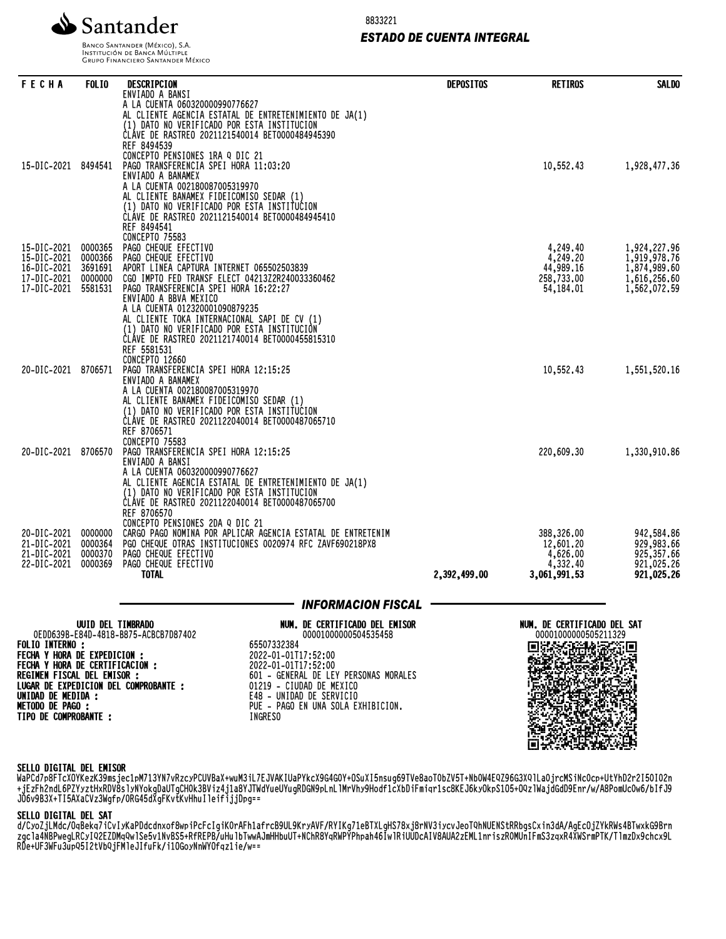

8833221

# *ESTADO DE CUENTA INTEGRAL*

BANCO SANTANDER (MÉXICO), S.A. INSTITUCIÓN DE BANCA MÚLTIPLE<br>INSTITUCIÓN DE BANCA MÚLTIPLE<br>GRUPO FINANCIERO SANTANDER MÉXICO

| <b>FECHA</b>                                                                                   | <b>FOLIO</b>       | DESCRIPCION<br>ENVIADO A BANSI                                                                                                                                                             | <b>DEPOSITOS</b> | <b>RETIROS</b>                       | <b>SALDO</b>                           |
|------------------------------------------------------------------------------------------------|--------------------|--------------------------------------------------------------------------------------------------------------------------------------------------------------------------------------------|------------------|--------------------------------------|----------------------------------------|
|                                                                                                |                    | A LA CUENTA 060320000990776627<br>AL CLIENTE AGENCIA ESTATAL DE ENTRETENIMIENTO DE JA(1)<br>(1) DATO NO VERIFICADO POR ESTA INSTITUCION<br>CLÁVE DE RASTREO 2021121540014 BET0000484945390 |                  |                                      |                                        |
| 15-DIC-2021 8494541                                                                            |                    | REF 8494539<br>CONCEPTO PENSIONES 1RA Q DIC 21<br>PAGO TRANSFERENCIA SPEI HORA 11:03:20<br>ENVIADO A BANAMEX<br>A LA CUENTA 002180087005319970                                             |                  | 10,552.43                            | 1,928,477.36                           |
|                                                                                                |                    | AL CLIENTE BANAMEX FIDEICOMISO SEDAR (1)<br>(1) DATO NO VERIFICADO POR ESTA INSTITUCION<br>ČLÁVE DE RASTREO 2021121540014 BET0000484945410<br>REF 8494541<br>CONCEPTO 75583                |                  |                                      |                                        |
| 15-DIC-2021<br>15-DIC-2021                                                                     | 0000365<br>0000366 | PAGO CHEQUE EFECTIVO<br>PAGO CHEQUE EFECTIVO                                                                                                                                               |                  | 4,249.40<br>4,249.20                 | 1,924,227.96<br>1,919,978.76           |
| 16-DIC-2021<br>17-DIC-2021                                                                     | 3691691<br>0000000 | APORT LINEA CAPTURA INTERNET 065502503839<br>CGO IMPTO FED TRANSF ELECT 04213Z2R240033360462                                                                                               |                  | 44,989.16<br>258,733.00              | 1,874,989.60<br>1,616,256.60           |
| 17-DIC-2021                                                                                    | 5581531            | PAGO TRANSFERENCIA SPEI HORA 16:22:27<br>ENVIADO A BBVA MEXICO                                                                                                                             |                  | 54,184.01                            | 1,562,072.59                           |
|                                                                                                |                    | A LA CUENTA 012320001090879235<br>AL CLIENTE TOKA INTERNACIONAL SAPI DE CV (1)<br>(1) DATO NO VERIFICADO POR ESTA INSTITUCION<br>CLÁVE DE RASTREO 2021121740014 BET0000455815310           |                  |                                      |                                        |
|                                                                                                |                    | REF 5581531<br><b>CONCEPTO 12660</b>                                                                                                                                                       |                  |                                      |                                        |
| 20-DIC-2021                                                                                    | 8706571            | PAGO TRANSFERENCIA SPEI HORA 12:15:25<br>ENVIADO A BANAMEX<br>A LA CUENTA 002180087005319970                                                                                               |                  | 10,552.43                            | 1,551,520.16                           |
|                                                                                                |                    | AL CLIENTE BANAMEX FIDEICOMISO SEDAR (1)<br>(1) DATO NO VERIFICADO POR ESTA INSTITUCION                                                                                                    |                  |                                      |                                        |
|                                                                                                |                    | CLÁVE DE RASTREO 2021122040014 BET0000487065710<br>REF 8706571<br><b>CONCEPTO 75583</b>                                                                                                    |                  |                                      |                                        |
| 20-DIC-2021                                                                                    | 8706570            | PAGO TRANSFERENCIA SPEI HORA 12:15:25<br>ENVIADO A BANSI                                                                                                                                   |                  | 220,609.30                           | 1,330,910.86                           |
|                                                                                                |                    | A LA CUENTA 060320000990776627<br>AL CLIENTE AGENCIA ESTATAL DE ENTRETENIMIENTO DE JA(1)<br>(1) DATO NO VERIFICADO POR ESTA INSTITUCION                                                    |                  |                                      |                                        |
|                                                                                                |                    | CLÁVE DE RASTREO 2021122040014 BET0000487065700<br>REF 8706570<br>CONCEPTO PENSIONES 2DA Q DIC 21                                                                                          |                  |                                      |                                        |
| 20-DIC-2021<br>21-DIC-2021                                                                     | 0000000<br>0000364 | CARGO PAGO NOMINA POR APLICAR AGENCIA ESTATAL DE ENTRETENIM<br>PGO CHEQUE OTRAS INSTITUCIONES 0020974 RFC ZAVF690218PX8                                                                    |                  | 388,326,00<br>12,601.20              | 942,584.86<br>929,983.66               |
| 21-DIC-2021<br>22-DIC-2021                                                                     | 0000370<br>0000369 | PAGO CHEQUE EFECTIVO<br>PAGO CHEQUE EFECTIVO<br>TOTAL                                                                                                                                      | 2,392,499,00     | 4,626.00<br>4,332.40<br>3,061,991.53 | 925,357.66<br>921,025.26<br>921,025.26 |
|                                                                                                |                    |                                                                                                                                                                                            |                  |                                      |                                        |
|                                                                                                | UUID DEL TIMBRADO  | <b>INFORMACION FISCAL</b><br>NUM. DE CERTIFICADO DEL EMISOR                                                                                                                                |                  | NUM. DE CERTIFICADO DEL SAT          |                                        |
| <b>FOLIO INTERNO:</b>                                                                          |                    | OEDD639B-E84D-4818-B875-ACBCB7D87402<br>00001000000504535458<br>65507332384                                                                                                                |                  | 00001000000505211329                 |                                        |
| FECHA Y HORA DE EXPEDICION :<br>FECHA Y HORA DE CERTIFICACION :<br>REGIMEN FISCAL DEL EMISOR : |                    | 2022-01-01T17:52:00<br>2022-01-01T17:52:00<br>601 - GENERAL DE LEY PERSONAS MORALES                                                                                                        |                  |                                      |                                        |
| UNIDAD DE MEDIDA :                                                                             |                    | LUGAR DE EXPEDICION DEL COMPROBANTE :<br>01219 - CIUDAD DE MEXICO<br>E48 - UNIDAD DE SERVICIO                                                                                              |                  |                                      |                                        |
| <b>METODO DE PAGO :</b><br>TIPO DE COMPROBANTE :                                               |                    | PUE - PAGO EN UNA SOLA EXHIBICION.<br>INGRESO                                                                                                                                              |                  |                                      |                                        |
|                                                                                                |                    |                                                                                                                                                                                            |                  |                                      |                                        |

#### SELLO DIGITAL DEL EMISOR

WaPCO/POFTCAUTKeZK39MSjec1pM/I3TN/VRZCYPCUVDaX+WUM3iL/EJVAKIUaPYKCX9G4GUT+U3UAI3NSUG09TVe8aOTUDZV3T+NDUW4EQZ90G3AQTLaUjrCMSINCUCP+UtYNDZFZI3UIUZN +jEzFh2ndL6PZYyztHxRDV8slyNYokgDaUTgCH0k3BViz4j1a8YJTWdYueUYugRDGN9pLnLlMrVhy9Hodf1cXbDiFmiqr1sc8KEJ6kyOkpS1O5+OQzlWajdGdD9Enr/w/A8PomUc0w6/bIfJ9 JO6v9B3X+TI5AXaCVz3Wgfp/0RG45dXgFKvtKvHhuIleifijjDpg==

### SELLO DIGITAL DEL SAT

d/CyoZjLMdc/OqBekq7iCvIyKaPDdcdnxof8wpiPcFcIgiK0rAFh1afrcB9UL9KryAVF/RYIKg71eBTXLgHS78xj8rNV3iycvJeoTQhNUENStRRbgsCxin3dA/AgEcOjZYkRWs4BTwxkG9Brn zgcla4NBPwegLRCyIQ2EZDMqQwlSe5v1NvBS5+RfREPB/uHulbTwwAJmHHbuUT+NChR8YqRWPYPhpah46IwlRiUUDcAIV8AUA2zEML1nriszR0MUnIFmS3zqxR4XWSrmPTK/TlmzDx9chcx9L RDe+UF3WFu3upQ5I2tVbQjFMleJIfuFk/i1OGoyNnWYOfqz1ie/w==